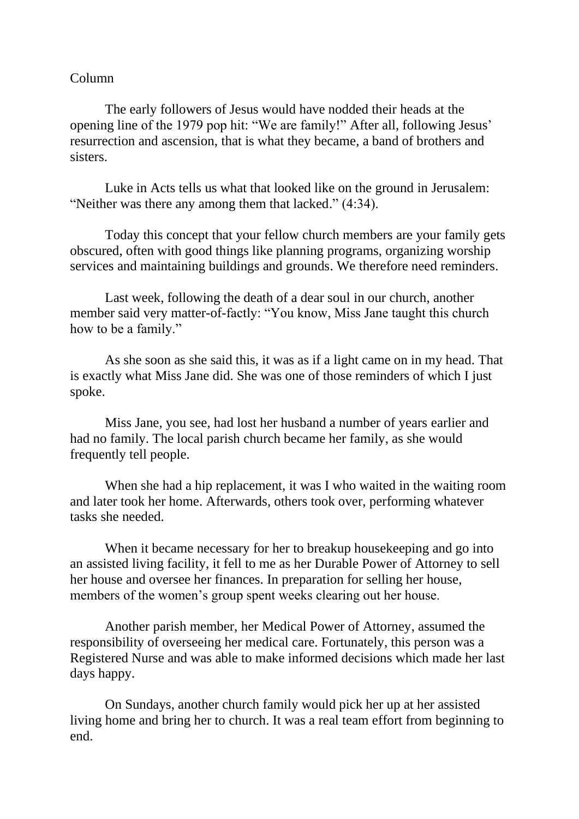## Column

The early followers of Jesus would have nodded their heads at the opening line of the 1979 pop hit: "We are family!" After all, following Jesus' resurrection and ascension, that is what they became, a band of brothers and sisters.

Luke in Acts tells us what that looked like on the ground in Jerusalem: "Neither was there any among them that lacked." (4:34).

Today this concept that your fellow church members are your family gets obscured, often with good things like planning programs, organizing worship services and maintaining buildings and grounds. We therefore need reminders.

Last week, following the death of a dear soul in our church, another member said very matter-of-factly: "You know, Miss Jane taught this church how to be a family."

As she soon as she said this, it was as if a light came on in my head. That is exactly what Miss Jane did. She was one of those reminders of which I just spoke.

Miss Jane, you see, had lost her husband a number of years earlier and had no family. The local parish church became her family, as she would frequently tell people.

When she had a hip replacement, it was I who waited in the waiting room and later took her home. Afterwards, others took over, performing whatever tasks she needed.

When it became necessary for her to breakup house keeping and go into an assisted living facility, it fell to me as her Durable Power of Attorney to sell her house and oversee her finances. In preparation for selling her house, members of the women's group spent weeks clearing out her house.

Another parish member, her Medical Power of Attorney, assumed the responsibility of overseeing her medical care. Fortunately, this person was a Registered Nurse and was able to make informed decisions which made her last days happy.

On Sundays, another church family would pick her up at her assisted living home and bring her to church. It was a real team effort from beginning to end.